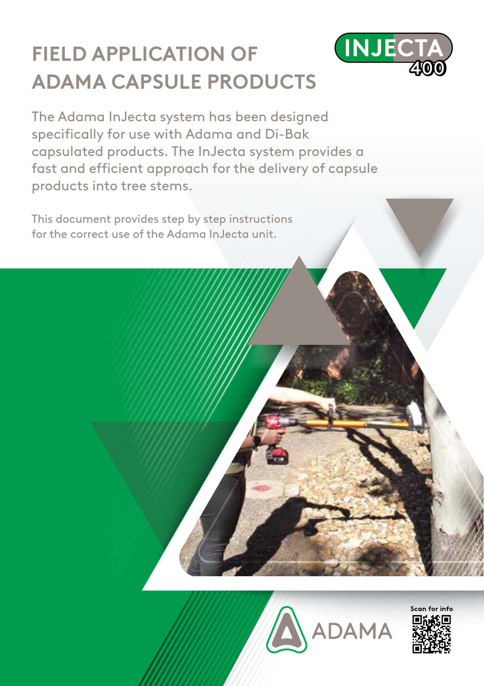## **FIELD APPLICATION OF ADAMA CAPSULE PRODUCTS**



The Adama InJecta system has been designed specifically for use with Adama and Di-Bak capsulated products. The InJecta system provides a fast and efficient approach for the delivery of capsule products into tree stems.

This document provides step by step instructions for the correct use of the Adama InJecta unit.



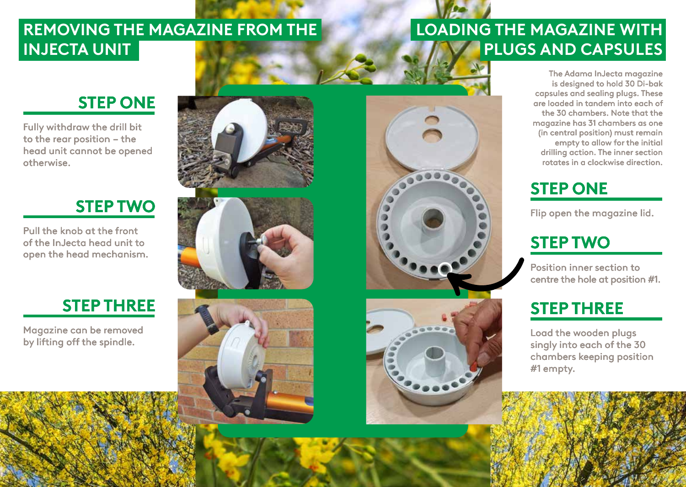## **REMOVING THE MAGAZINE FROM THE INJECTA UNIT**

# **LOADING THE MAGAZINE WITH PLUGS AND CAPSULES**

**STEP ONE**

Fully withdraw the drill bit to the rear position – the head unit cannot be opened otherwise.

## **STEP TWO**

Pull the knob at the front of the InJecta head unit to open the head mechanism.

Magazine can be removed











The Adama InJecta magazine is designed to hold 30 Di-bak capsules and sealing plugs. These are loaded in tandem into each of the 30 chambers. Note that the magazine has 31 chambers as one (in central position) must remain empty to allow for the initial drilling action. The inner section rotates in a clockwise direction.

# **STEP ONE**

Flip open the magazine lid.

# **STEP TWO**

Position inner section to centre the hole at position #1.

singly into each of the 30 chambers keeping position #1 empty.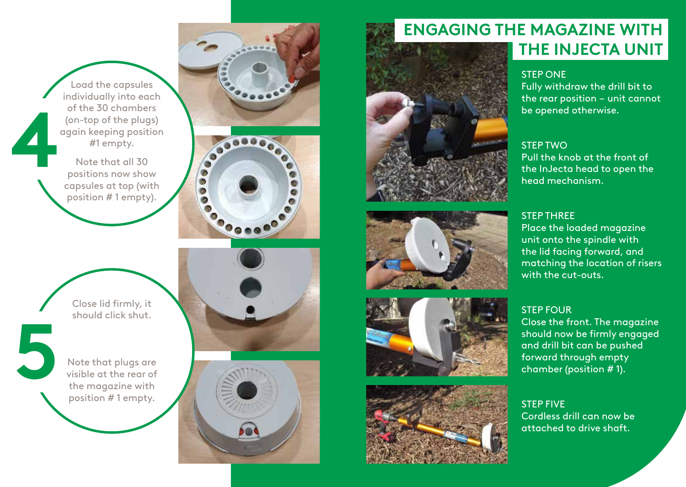Load the capsules individually into each of the 30 chambers (on-top of the plugs) again keeping position #1 empty.

Note that all 30 positions now show capsules at top (with position # 1 empty).







**45**

5

Note that plugs are visible at the rear of the magazine with position # 1 empty.





## **ENGAGING THE MAGAZINE WITH THE INJECTA UNIT**



Fully withdraw the drill bit to the rear position – unit cannot be opened otherwise.

### STEP TWO

Pull the knob at the front of the InJecta head to open the head mechanism.

### STEP THREE

Place the loaded magazine unit onto the spindle with the lid facing forward, and matching the location of risers with the cut-outs.

### STEP FOUR

Close the front. The magazine should now be firmly engaged and drill bit can be pushed forward through empty chamber (position # 1).

STEP FIVE Cordless drill can now be attached to drive shaft.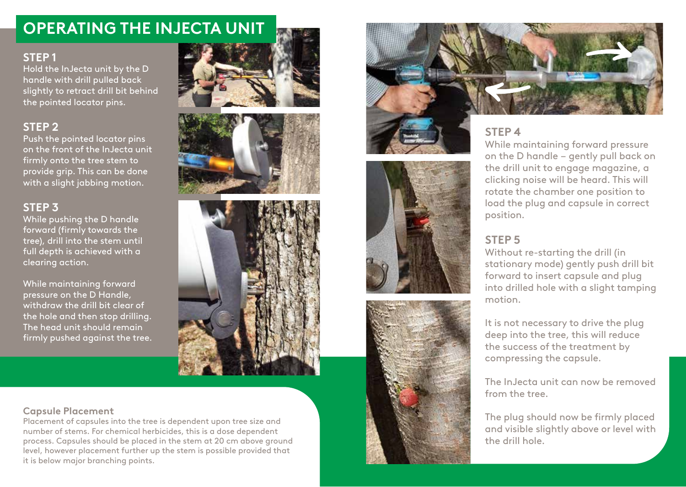### **OPERATING THE INJECTA UNIT**

### **STEP 1**

Hold the InJecta unit by the D handle with drill pulled back slightly to retract drill bit behind the pointed locator pins.

### **STEP 2**

Push the pointed locator pins on the front of the InJecta unit firmly onto the tree stem to provide grip. This can be done with a slight jabbing motion.

### **STEP 3**

While pushing the D handle forward (firmly towards the tree), drill into the stem until full depth is achieved with a clearing action.

While maintaining forward pressure on the D Handle, withdraw the drill bit clear of the hole and then stop drilling. The head unit should remain firmly pushed against the tree.









### **STEP 4**

While maintaining forward pressure on the D handle – gently pull back on the drill unit to engage magazine, a clicking noise will be heard. This will rotate the chamber one position to load the plug and capsule in correct position.

### **STEP 5**

Without re-starting the drill (in stationary mode) gently push drill bit forward to insert capsule and plug into drilled hole with a slight tamping motion.

It is not necessary to drive the plug deep into the tree, this will reduce the success of the treatment by compressing the capsule.

The InJecta unit can now be removed from the tree.

The plug should now be firmly placed and visible slightly above or level with the drill hole.

### **Capsule Placement**

Placement of capsules into the tree is dependent upon tree size and number of stems. For chemical herbicides, this is a dose dependent process. Capsules should be placed in the stem at 20 cm above ground level, however placement further up the stem is possible provided that it is below major branching points.